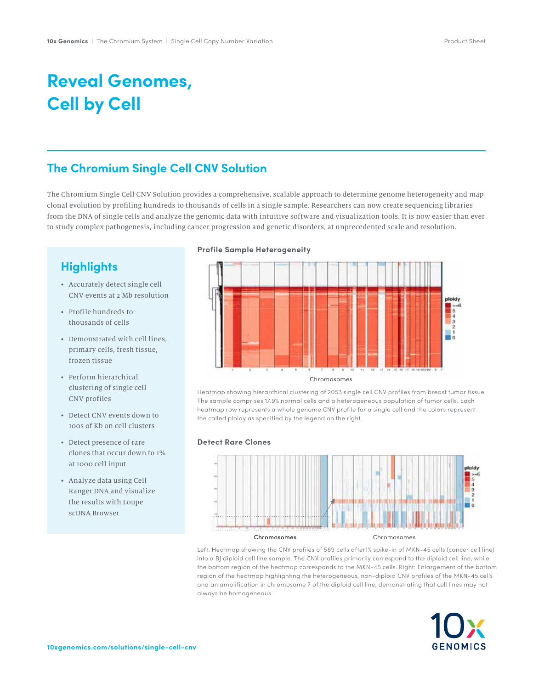# **Reveal Genomes, Cell by Cell**

### **The Chromium Single Cell CNV Solution**

The Chromium Single Cell CNV Solution provides a comprehensive, scalable approach to determine genome heterogeneity and map clonal evolution by profiling hundreds to thousands of cells in a single sample. Researchers can now create sequencing libraries from the DNA of single cells and analyze the genomic data with intuitive software and visualization tools. It is now easier than ever to study complex pathogenesis, including cancer progression and genetic disorders, at unprecedented scale and resolution.

### **Highlights**

- Accurately detect single cell CNV events at 2 Mb resolution
- Profile hundreds to thousands of cells
- Demonstrated with cell lines, primary cells, fresh tissue, frozen tissue
- Perform hierarchical clustering of single cell CNV profiles
- Detect CNV events down to 100s of Kb on cell clusters
- Detect presence of rare clones that occur down to 1% at 1000 cell input
- Analyze data using Cell Ranger DNA and visualize the results with Loupe scDNA Browser

#### **Profile Sample Heterogeneity**



Heatmap showing hierarchical clustering of 2053 single cell CNV profiles from breast tumor tissue. The sample comprises 17.9% normal cells and a heterogeneous population of tumor cells. Each heatmap row represents a whole genome CNV profile for a single cell and the colors represent the called ploidy as specified by the legend on the right.

#### **Detect Rare Clones**



Left: Heatmap showing the CNV profiles of 569 cells after1% spike-in of MKN-45 cells (cancer cell line) into a BJ diploid cell line sample. The CNV profiles primarily correspond to the diploid cell line, while the bottom region of the heatmap corresponds to the MKN-45 cells. Right: Enlargement of the bottom region of the heatmap highlighting the heterogeneous, non-diploid CNV profiles of the MKN-45 cells and an amplification in chromosome 7 of the diploid cell line, demonstrating that cell lines may not always be homogeneous.